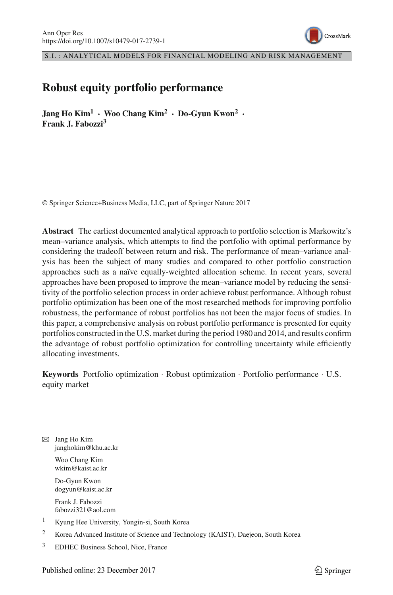

S.I. : ANALYTICAL MODELS FOR FINANCIAL MODELING AND RISK MANAGEMENT

# **Robust equity portfolio performance**

**Jang Ho Kim<sup>1</sup> · Woo Chang Kim2 · Do-Gyun Kwon<sup>2</sup> · Frank J. Fabozzi3**

© Springer Science+Business Media, LLC, part of Springer Nature 2017

**Abstract** The earliest documented analytical approach to portfolio selection is Markowitz's mean–variance analysis, which attempts to find the portfolio with optimal performance by considering the tradeoff between return and risk. The performance of mean–variance analysis has been the subject of many studies and compared to other portfolio construction approaches such as a naïve equally-weighted allocation scheme. In recent years, several approaches have been proposed to improve the mean–variance model by reducing the sensitivity of the portfolio selection process in order achieve robust performance. Although robust portfolio optimization has been one of the most researched methods for improving portfolio robustness, the performance of robust portfolios has not been the major focus of studies. In this paper, a comprehensive analysis on robust portfolio performance is presented for equity portfolios constructed in the U.S. market during the period 1980 and 2014, and results confirm the advantage of robust portfolio optimization for controlling uncertainty while efficiently allocating investments.

**Keywords** Portfolio optimization · Robust optimization · Portfolio performance · U.S. equity market

B Jang Ho Kim janghokim@khu.ac.kr

> Woo Chang Kim wkim@kaist.ac.kr

Do-Gyun Kwon dogyun@kaist.ac.kr

Frank J. Fabozzi fabozzi321@aol.com

- <sup>1</sup> Kyung Hee University, Yongin-si, South Korea
- <sup>2</sup> Korea Advanced Institute of Science and Technology (KAIST), Daejeon, South Korea
- <sup>3</sup> EDHEC Business School, Nice, France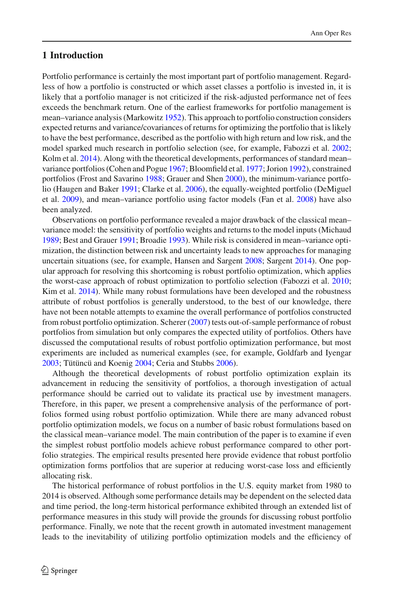# **1 Introduction**

Portfolio performance is certainly the most important part of portfolio management. Regardless of how a portfolio is constructed or which asset classes a portfolio is invested in, it is likely that a portfolio manager is not criticized if the risk-adjusted performance net of fees exceeds the benchmark return. One of the earliest frameworks for portfolio management is mean–variance analysis (Markowit[z](#page-18-0) [1952](#page-18-0)). This approach to portfolio construction considers expected returns and variance/covariances of returns for optimizing the portfolio that is likely to have the best performance, described as the portfolio with high return and low risk, and the model sparked much research in portfolio selection (see, for example, Fabozzi et al[.](#page-18-1) [2002](#page-18-1); Kolm et al[.](#page-18-2) [2014\)](#page-18-2). Along with the theoretical developments, performances of standard mean– variance portfolios (Cohen and Pogu[e](#page-18-3) [1967;](#page-18-3) Bloomfield et al[.](#page-17-0) [1977](#page-17-0); Jorio[n](#page-18-4) [1992](#page-18-4)), constrained portfolios (Frost and Savarin[o](#page-18-5) [1988;](#page-18-5) Grauer and She[n](#page-18-6) [2000](#page-18-6)), the minimum-variance portfolio (Haugen and Bake[r](#page-18-7) [1991](#page-18-7); Clarke et al[.](#page-18-8) [2006](#page-18-8)), the equally-weighted portfolio (DeMiguel et al[.](#page-18-9) [2009](#page-18-9)), and mean–variance portfolio using factor models (Fan et al[.](#page-18-10) [2008\)](#page-18-10) have also been analyzed.

Observations on portfolio performance revealed a major drawback of the classical mean– variance model: the sensitivity of portfolio weights and returns to the model inputs (Michau[d](#page-18-11) [1989](#page-18-11); Best and Graue[r](#page-17-1) [1991](#page-17-1); Broadi[e](#page-17-2) [1993](#page-17-2)). While risk is considered in mean–variance optimization, the distinction between risk and uncertainty leads to new approaches for managing uncertain situations (see, for example, Hansen and Sargen[t](#page-18-12) [2008](#page-18-12); Sargen[t](#page-18-13) [2014\)](#page-18-13). One popular approach for resolving this shortcoming is robust portfolio optimization, which applies the worst-case approach of robust optimization to portfolio selection (Fabozzi et al[.](#page-18-14) [2010](#page-18-14); Kim et al[.](#page-18-15) [2014\)](#page-18-15). While many robust formulations have been developed and the robustness attribute of robust portfolios is generally understood, to the best of our knowledge, there have not been notable attempts to examine the overall performance of portfolios constructed from robust portfolio optimization. Schere[r](#page-18-16) [\(2007](#page-18-16)) tests out-of-sample performance of robust portfolios from simulation but only compares the expected utility of portfolios. Others have discussed the computational results of robust portfolio optimization performance, but most experiments are included as numerical examples (see, for example, Goldfarb and Iyenga[r](#page-18-17) [2003](#page-18-17); Tütüncü and Koeni[g](#page-19-0) [2004;](#page-19-0) Ceria and Stubb[s](#page-17-3) [2006\)](#page-17-3).

Although the theoretical developments of robust portfolio optimization explain its advancement in reducing the sensitivity of portfolios, a thorough investigation of actual performance should be carried out to validate its practical use by investment managers. Therefore, in this paper, we present a comprehensive analysis of the performance of portfolios formed using robust portfolio optimization. While there are many advanced robust portfolio optimization models, we focus on a number of basic robust formulations based on the classical mean–variance model. The main contribution of the paper is to examine if even the simplest robust portfolio models achieve robust performance compared to other portfolio strategies. The empirical results presented here provide evidence that robust portfolio optimization forms portfolios that are superior at reducing worst-case loss and efficiently allocating risk.

The historical performance of robust portfolios in the U.S. equity market from 1980 to 2014 is observed. Although some performance details may be dependent on the selected data and time period, the long-term historical performance exhibited through an extended list of performance measures in this study will provide the grounds for discussing robust portfolio performance. Finally, we note that the recent growth in automated investment management leads to the inevitability of utilizing portfolio optimization models and the efficiency of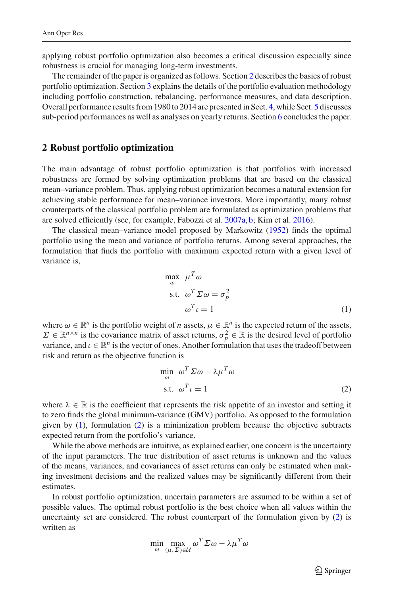applying robust portfolio optimization also becomes a critical discussion especially since robustness is crucial for managing long-term investments.

The remainder of the paper is organized as follows. Section [2](#page-2-0) describes the basics of robust portfolio optimization. Section [3](#page-3-0) explains the details of the portfolio evaluation methodology including portfolio construction, rebalancing, performance measures, and data description. Overall performance results from 1980 to 2014 are presented in Sect. [4,](#page-7-0) while Sect. [5](#page-12-0) discusses sub-period performances as well as analyses on yearly returns. Section [6](#page-17-4) concludes the paper.

#### <span id="page-2-0"></span>**2 Robust portfolio optimization**

The main advantage of robust portfolio optimization is that portfolios with increased robustness are formed by solving optimization problems that are based on the classical mean–variance problem. Thus, applying robust optimization becomes a natural extension for achieving stable performance for mean–variance investors. More importantly, many robust counterparts of the classical portfolio problem are formulated as optimization problems that are solved efficiently (see, for example, Fabozzi et al[.](#page-18-18) [2007a,](#page-18-18) [b](#page-18-19); Kim et al[.](#page-18-20) [2016\)](#page-18-20).

The classical mean–variance model proposed by Markowit[z](#page-18-0) [\(1952\)](#page-18-0) finds the optimal portfolio using the mean and variance of portfolio returns. Among several approaches, the formulation that finds the portfolio with maximum expected return with a given level of variance is,

<span id="page-2-1"></span>
$$
\max_{\omega} \mu^T \omega
$$
  
s.t.  $\omega^T \Sigma \omega = \sigma_p^2$   
 $\omega^T \iota = 1$  (1)

where  $\omega \in \mathbb{R}^n$  is the portfolio weight of *n* assets,  $\mu \in \mathbb{R}^n$  is the expected return of the assets,  $\Sigma \in \mathbb{R}^{n \times n}$  is the covariance matrix of asset returns,  $\sigma_p^2 \in \mathbb{R}$  is the desired level of portfolio variance, and  $\iota \in \mathbb{R}^n$  is the vector of ones. Another formulation that uses the tradeoff between risk and return as the objective function is

<span id="page-2-2"></span>
$$
\min_{\omega} \ \omega^T \Sigma \omega - \lambda \mu^T \omega
$$
  
s.t.  $\omega^T \iota = 1$  (2)

where  $\lambda \in \mathbb{R}$  is the coefficient that represents the risk appetite of an investor and setting it to zero finds the global minimum-variance (GMV) portfolio. As opposed to the formulation given by [\(1\)](#page-2-1), formulation [\(2\)](#page-2-2) is a minimization problem because the objective subtracts expected return from the portfolio's variance.

While the above methods are intuitive, as explained earlier, one concern is the uncertainty of the input parameters. The true distribution of asset returns is unknown and the values of the means, variances, and covariances of asset returns can only be estimated when making investment decisions and the realized values may be significantly different from their estimates.

In robust portfolio optimization, uncertain parameters are assumed to be within a set of possible values. The optimal robust portfolio is the best choice when all values within the uncertainty set are considered. The robust counterpart of the formulation given by [\(2\)](#page-2-2) is written as

<span id="page-2-3"></span>
$$
\min_{\omega} \max_{(\mu, \Sigma) \in \mathcal{U}} \omega^T \Sigma \omega - \lambda \mu^T \omega
$$

 $\circled{2}$  Springer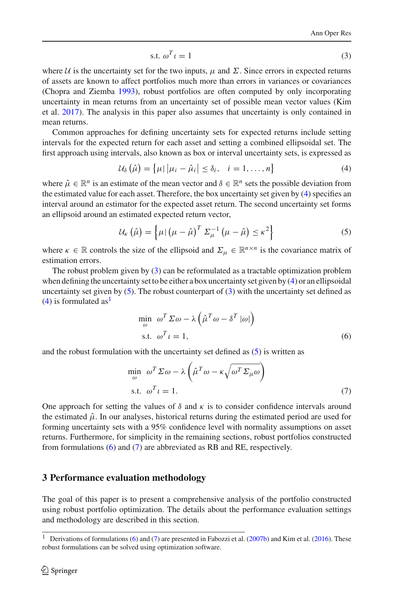$$
\text{s.t. } \omega^T \iota = 1 \tag{3}
$$

where *U* is the uncertainty set for the two inputs,  $\mu$  and  $\Sigma$ . Since errors in expected returns of assets are known to affect portfolios much more than errors in variances or covariances (Chopra and Ziemb[a](#page-17-5) [1993](#page-17-5)), robust portfolios are often computed by only incorporating uncertainty in mean returns from an uncertainty set of possible mean vector values (Kim et al[.](#page-18-21) [2017](#page-18-21)). The analysis in this paper also assumes that uncertainty is only contained in mean returns.

Common approaches for defining uncertainty sets for expected returns include setting intervals for the expected return for each asset and setting a combined ellipsoidal set. The first approach using intervals, also known as box or interval uncertainty sets, is expressed as

<span id="page-3-1"></span>
$$
\mathcal{U}_{\delta}\left(\hat{\mu}\right) = \left\{\mu \,|\, \left|\mu_{i} - \hat{\mu}_{i}\right| \leq \delta_{i}, \quad i = 1, \ldots, n\right\} \tag{4}
$$

where  $\hat{\mu} \in \mathbb{R}^n$  is an estimate of the mean vector and  $\delta \in \mathbb{R}^n$  sets the possible deviation from the estimated value for each asset. Therefore, the box uncertainty set given by [\(4\)](#page-3-1) specifies an interval around an estimator for the expected asset return. The second uncertainty set forms an ellipsoid around an estimated expected return vector,

<span id="page-3-2"></span>
$$
\mathcal{U}_{\kappa}(\hat{\mu}) = \left\{ \mu \mid (\mu - \hat{\mu})^T \Sigma_{\mu}^{-1} (\mu - \hat{\mu}) \leq \kappa^2 \right\}
$$
 (5)

where  $\kappa \in \mathbb{R}$  controls the size of the ellipsoid and  $\Sigma_{\mu} \in \mathbb{R}^{n \times n}$  is the covariance matrix of estimation errors.

The robust problem given by [\(3\)](#page-2-3) can be reformulated as a tractable optimization problem when defining the uncertainty set to be either a box uncertainty set given by [\(4\)](#page-3-1) or an ellipsoidal uncertainty set given by  $(5)$ . The robust counterpart of  $(3)$  with the uncertainty set defined as  $(4)$  is formulated as<sup>[1](#page-3-3)</sup>

<span id="page-3-4"></span>
$$
\min_{\omega} \omega^T \Sigma \omega - \lambda \left( \hat{\mu}^T \omega - \delta^T |\omega| \right)
$$
  
s.t.  $\omega^T \iota = 1$ , (6)

and the robust formulation with the uncertainty set defined as  $(5)$  is written as

<span id="page-3-5"></span>
$$
\min_{\omega} \omega^T \Sigma \omega - \lambda \left( \hat{\mu}^T \omega - \kappa \sqrt{\omega^T \Sigma_{\mu} \omega} \right)
$$
  
s.t.  $\omega^T \iota = 1.$  (7)

One approach for setting the values of  $\delta$  and  $\kappa$  is to consider confidence intervals around the estimated  $\hat{\mu}$ . In our analyses, historical returns during the estimated period are used for forming uncertainty sets with a 95% confidence level with normality assumptions on asset returns. Furthermore, for simplicity in the remaining sections, robust portfolios constructed from formulations [\(6\)](#page-3-4) and [\(7\)](#page-3-5) are abbreviated as RB and RE, respectively.

#### <span id="page-3-0"></span>**3 Performance evaluation methodology**

The goal of this paper is to present a comprehensive analysis of the portfolio constructed using robust portfolio optimization. The details about the performance evaluation settings and methodology are described in this section.

<span id="page-3-3"></span>Derivations of formulations [\(6\)](#page-3-4) and [\(7\)](#page-3-5) are presented in Fabozzi et al[.](#page-18-20) [\(2007b\)](#page-18-19) and Kim et al. [\(2016\)](#page-18-20). These robust formulations can be solved using optimization software.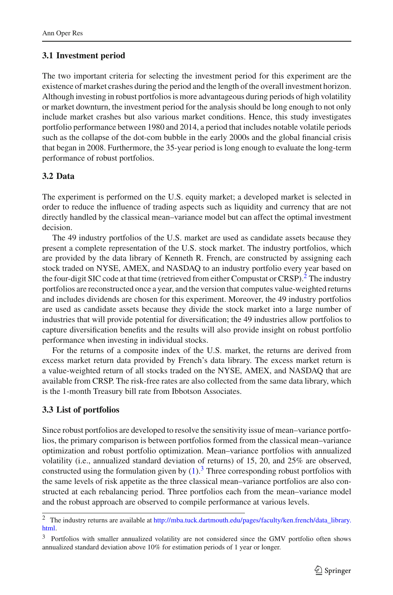# **3.1 Investment period**

The two important criteria for selecting the investment period for this experiment are the existence of market crashes during the period and the length of the overall investment horizon. Although investing in robust portfolios is more advantageous during periods of high volatility or market downturn, the investment period for the analysis should be long enough to not only include market crashes but also various market conditions. Hence, this study investigates portfolio performance between 1980 and 2014, a period that includes notable volatile periods such as the collapse of the dot-com bubble in the early 2000s and the global financial crisis that began in 2008. Furthermore, the 35-year period is long enough to evaluate the long-term performance of robust portfolios.

# **3.2 Data**

The experiment is performed on the U.S. equity market; a developed market is selected in order to reduce the influence of trading aspects such as liquidity and currency that are not directly handled by the classical mean–variance model but can affect the optimal investment decision.

The 49 industry portfolios of the U.S. market are used as candidate assets because they present a complete representation of the U.S. stock market. The industry portfolios, which are provided by the data library of Kenneth R. French, are constructed by assigning each stock traded on NYSE, AMEX, and NASDAQ to an industry portfolio every year based on the four-digit SIC code at that time (retrieved from either Compustat or CRSP).<sup>2</sup> The industry portfolios are reconstructed once a year, and the version that computes value-weighted returns and includes dividends are chosen for this experiment. Moreover, the 49 industry portfolios are used as candidate assets because they divide the stock market into a large number of industries that will provide potential for diversification; the 49 industries allow portfolios to capture diversification benefits and the results will also provide insight on robust portfolio performance when investing in individual stocks.

For the returns of a composite index of the U.S. market, the returns are derived from excess market return data provided by French's data library. The excess market return is a value-weighted return of all stocks traded on the NYSE, AMEX, and NASDAQ that are available from CRSP. The risk-free rates are also collected from the same data library, which is the 1-month Treasury bill rate from Ibbotson Associates.

# **3.3 List of portfolios**

Since robust portfolios are developed to resolve the sensitivity issue of mean–variance portfolios, the primary comparison is between portfolios formed from the classical mean–variance optimization and robust portfolio optimization. Mean–variance portfolios with annualized volatility (i.e., annualized standard deviation of returns) of 15, 20, and 25% are observed, constructed using the formulation given by  $(1)$ .<sup>[3](#page-4-1)</sup> Three corresponding robust portfolios with the same levels of risk appetite as the three classical mean–variance portfolios are also constructed at each rebalancing period. Three portfolios each from the mean–variance model and the robust approach are observed to compile performance at various levels.

<span id="page-4-0"></span><sup>2</sup> The industry returns are available at [http://mba.tuck.dartmouth.edu/pages/faculty/ken.french/data\\_library.](http://mba.tuck.dartmouth.edu/pages/faculty/ken.french/data_library.html) [html.](http://mba.tuck.dartmouth.edu/pages/faculty/ken.french/data_library.html)

<span id="page-4-1"></span><sup>&</sup>lt;sup>3</sup> Portfolios with smaller annualized volatility are not considered since the GMV portfolio often shows annualized standard deviation above 10% for estimation periods of 1 year or longer.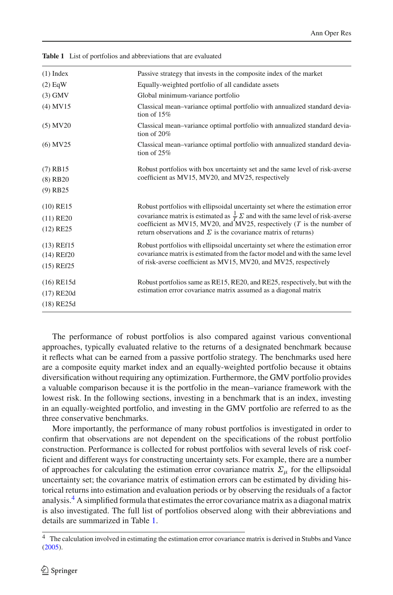| $(1)$ Index  | Passive strategy that invests in the composite index of the market                                                                               |
|--------------|--------------------------------------------------------------------------------------------------------------------------------------------------|
| $(2)$ EqW    | Equally-weighted portfolio of all candidate assets                                                                                               |
| $(3)$ GMV    | Global minimum-variance portfolio                                                                                                                |
| $(4)$ MV15   | Classical mean–variance optimal portfolio with annualized standard devia-<br>tion of $15%$                                                       |
| $(5)$ MV20   | Classical mean–variance optimal portfolio with annualized standard devia-<br>tion of $20%$                                                       |
| $(6)$ MV25   | Classical mean–variance optimal portfolio with annualized standard devia-<br>tion of $25%$                                                       |
| $(7)$ RB15   | Robust portfolios with box uncertainty set and the same level of risk-averse                                                                     |
| $(8)$ RB20   | coefficient as MV15, MV20, and MV25, respectively                                                                                                |
| $(9)$ RB25   |                                                                                                                                                  |
| $(10)$ RE15  | Robust portfolios with ellipsoidal uncertainty set where the estimation error                                                                    |
| $(11)$ RE20  | covariance matrix is estimated as $\frac{1}{T} \Sigma$ and with the same level of risk-averse                                                    |
| $(12)$ RE25  | coefficient as MV15, MV20, and MV25, respectively $(T$ is the number of<br>return observations and $\Sigma$ is the covariance matrix of returns) |
| $(13)$ REf15 | Robust portfolios with ellipsoidal uncertainty set where the estimation error                                                                    |
| $(14)$ REf20 | covariance matrix is estimated from the factor model and with the same level                                                                     |
| $(15)$ REf25 | of risk-averse coefficient as MV15, MV20, and MV25, respectively                                                                                 |
| $(16)$ RE15d | Robust portfolios same as RE15, RE20, and RE25, respectively, but with the                                                                       |
| $(17)$ RE20d | estimation error covariance matrix assumed as a diagonal matrix                                                                                  |
| $(18)$ RE25d |                                                                                                                                                  |

<span id="page-5-1"></span>**Table 1** List of portfolios and abbreviations that are evaluated

The performance of robust portfolios is also compared against various conventional approaches, typically evaluated relative to the returns of a designated benchmark because it reflects what can be earned from a passive portfolio strategy. The benchmarks used here are a composite equity market index and an equally-weighted portfolio because it obtains diversification without requiring any optimization. Furthermore, the GMV portfolio provides a valuable comparison because it is the portfolio in the mean–variance framework with the lowest risk. In the following sections, investing in a benchmark that is an index, investing in an equally-weighted portfolio, and investing in the GMV portfolio are referred to as the three conservative benchmarks.

More importantly, the performance of many robust portfolios is investigated in order to confirm that observations are not dependent on the specifications of the robust portfolio construction. Performance is collected for robust portfolios with several levels of risk coefficient and different ways for constructing uncertainty sets. For example, there are a number of approaches for calculating the estimation error covariance matrix  $\Sigma_{\mu}$  for the ellipsoidal uncertainty set; the covariance matrix of estimation errors can be estimated by dividing historical returns into estimation and evaluation periods or by observing the residuals of a factor analysis[.4](#page-5-0) A simplified formula that estimates the error covariance matrix as a diagonal matrix is also investigated. The full list of portfolios observed along with their abbreviations and details are summarized in Table [1.](#page-5-1)

<span id="page-5-0"></span><sup>4</sup> The calculation involved in estimating the estimation error covariance matrix is derived in Stubbs and Vanc[e](#page-19-1) [\(2005\)](#page-19-1).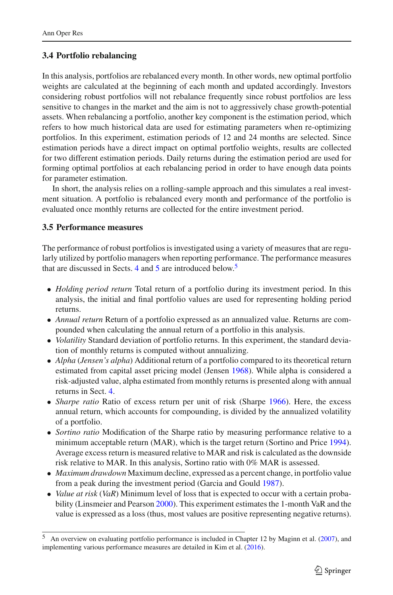### **3.4 Portfolio rebalancing**

In this analysis, portfolios are rebalanced every month. In other words, new optimal portfolio weights are calculated at the beginning of each month and updated accordingly. Investors considering robust portfolios will not rebalance frequently since robust portfolios are less sensitive to changes in the market and the aim is not to aggressively chase growth-potential assets. When rebalancing a portfolio, another key component is the estimation period, which refers to how much historical data are used for estimating parameters when re-optimizing portfolios. In this experiment, estimation periods of 12 and 24 months are selected. Since estimation periods have a direct impact on optimal portfolio weights, results are collected for two different estimation periods. Daily returns during the estimation period are used for forming optimal portfolios at each rebalancing period in order to have enough data points for parameter estimation.

In short, the analysis relies on a rolling-sample approach and this simulates a real investment situation. A portfolio is rebalanced every month and performance of the portfolio is evaluated once monthly returns are collected for the entire investment period.

### **3.5 Performance measures**

The performance of robust portfolios is investigated using a variety of measures that are regularly utilized by portfolio managers when reporting performance. The performance measures that are discussed in Sects. [4](#page-7-0) and  $\overline{5}$  $\overline{5}$  $\overline{5}$  are introduced below.<sup>5</sup>

- *Holding period return* Total return of a portfolio during its investment period. In this analysis, the initial and final portfolio values are used for representing holding period returns.
- *Annual return* Return of a portfolio expressed as an annualized value. Returns are compounded when calculating the annual return of a portfolio in this analysis.
- *Volatility* Standard deviation of portfolio returns. In this experiment, the standard deviation of monthly returns is computed without annualizing.
- *Alpha* (*Jensen's alpha*) Additional return of a portfolio compared to its theoretical return estimated from capital asset pricing model (Jense[n](#page-18-22) [1968](#page-18-22)). While alpha is considered a risk-adjusted value, alpha estimated from monthly returns is presented along with annual returns in Sect. [4.](#page-7-0)
- *Sharp[e](#page-18-23) ratio* Ratio of excess return per unit of risk (Sharpe [1966\)](#page-18-23). Here, the excess annual return, which accounts for compounding, is divided by the annualized volatility of a portfolio.
- *Sortino ratio* Modification of the Sharpe ratio by measuring performance relative to a minimum acceptable return (MAR), which is the target return (Sortino and Pric[e](#page-18-24) [1994\)](#page-18-24). Average excess return is measured relative to MAR and risk is calculated as the downside risk relative to MAR. In this analysis, Sortino ratio with 0% MAR is assessed.
- *Maximum drawdown* Maximum decline, expressed as a percent change, in portfolio value from a peak during the investment period (Garcia and Goul[d](#page-18-25) [1987](#page-18-25)).
- *Value at risk* (*VaR*) Minimum level of loss that is expected to occur with a certain probability (Linsmeier and Pearso[n](#page-18-26) [2000](#page-18-26)). This experiment estimates the 1-month VaR and the value is expressed as a loss (thus, most values are positive representing negative returns).

<span id="page-6-0"></span><sup>5</sup> An overview on evaluating portfolio performance is included in Chapter 12 by Maginn et al[.](#page-18-27) [\(2007\)](#page-18-27), and implementing various performance measures are detailed in Kim et al[.](#page-18-20) [\(2016](#page-18-20)).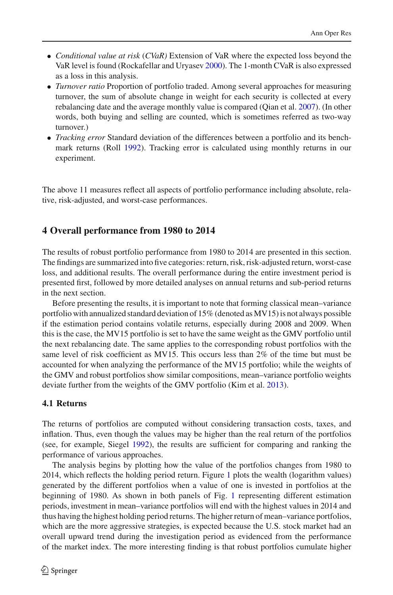- *Conditional value at risk* (*CVaR)* Extension of VaR where the expected loss beyond the VaR level is found (Rockafellar and Uryase[v](#page-18-28) [2000\)](#page-18-28). The 1-month CVaR is also expressed as a loss in this analysis.
- *Turnover ratio* Proportion of portfolio traded. Among several approaches for measuring turnover, the sum of absolute change in weight for each security is collected at every rebalancing date and the average monthly value is compared (Qian et al[.](#page-18-29) [2007\)](#page-18-29). (In other words, both buying and selling are counted, which is sometimes referred as two-way turnover.)
- *Tracking error* Standard deviation of the differences between a portfolio and its benchmark returns (Rol[l](#page-18-30) [1992\)](#page-18-30). Tracking error is calculated using monthly returns in our experiment.

The above 11 measures reflect all aspects of portfolio performance including absolute, relative, risk-adjusted, and worst-case performances.

### <span id="page-7-0"></span>**4 Overall performance from 1980 to 2014**

The results of robust portfolio performance from 1980 to 2014 are presented in this section. The findings are summarized into five categories: return, risk, risk-adjusted return, worst-case loss, and additional results. The overall performance during the entire investment period is presented first, followed by more detailed analyses on annual returns and sub-period returns in the next section.

Before presenting the results, it is important to note that forming classical mean–variance portfolio with annualized standard deviation of 15% (denoted as MV15) is not always possible if the estimation period contains volatile returns, especially during 2008 and 2009. When this is the case, the MV15 portfolio is set to have the same weight as the GMV portfolio until the next rebalancing date. The same applies to the corresponding robust portfolios with the same level of risk coefficient as MV15. This occurs less than 2% of the time but must be accounted for when analyzing the performance of the MV15 portfolio; while the weights of the GMV and robust portfolios show similar compositions, mean–variance portfolio weights deviate further from the weights of the GMV portfolio (Kim et al[.](#page-18-31) [2013](#page-18-31)).

#### <span id="page-7-1"></span>**4.1 Returns**

The returns of portfolios are computed without considering transaction costs, taxes, and inflation. Thus, even though the values may be higher than the real return of the portfolios (see, for example, Siege[l](#page-18-32) [1992\)](#page-18-32), the results are sufficient for comparing and ranking the performance of various approaches.

The analysis begins by plotting how the value of the portfolios changes from 1980 to 2014, which reflects the holding period return. Figure [1](#page-8-0) plots the wealth (logarithm values) generated by the different portfolios when a value of one is invested in portfolios at the beginning of 1980. As shown in both panels of Fig. [1](#page-8-0) representing different estimation periods, investment in mean–variance portfolios will end with the highest values in 2014 and thus having the highest holding period returns. The higher return of mean–variance portfolios, which are the more aggressive strategies, is expected because the U.S. stock market had an overall upward trend during the investigation period as evidenced from the performance of the market index. The more interesting finding is that robust portfolios cumulate higher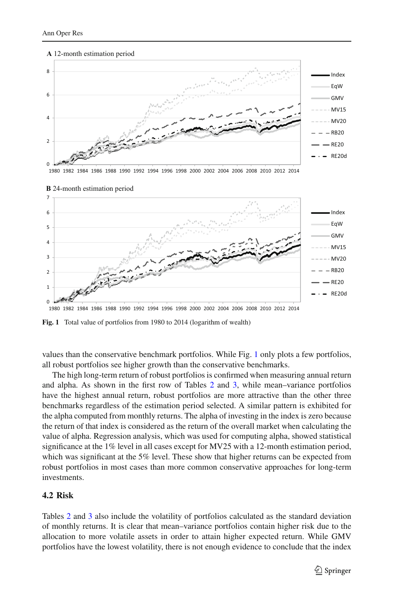#### **A** 12-month estimation period



1980 1982 1984 1986 1988 1990 1992 1994 1996 1998 2000 2002 2004 2006 2008 2010 2012 2014



**B** 24-month estimation period

<span id="page-8-0"></span>Fig. 1 Total value of portfolios from 1980 to 2014 (logarithm of wealth)

values than the conservative benchmark portfolios. While Fig. [1](#page-8-0) only plots a few portfolios, all robust portfolios see higher growth than the conservative benchmarks.

The high long-term return of robust portfolios is confirmed when measuring annual return and alpha. As shown in the first row of Tables [2](#page-9-0) and [3,](#page-10-0) while mean–variance portfolios have the highest annual return, robust portfolios are more attractive than the other three benchmarks regardless of the estimation period selected. A similar pattern is exhibited for the alpha computed from monthly returns. The alpha of investing in the index is zero because the return of that index is considered as the return of the overall market when calculating the value of alpha. Regression analysis, which was used for computing alpha, showed statistical significance at the 1% level in all cases except for MV25 with a 12-month estimation period, which was significant at the 5% level. These show that higher returns can be expected from robust portfolios in most cases than more common conservative approaches for long-term investments.

#### <span id="page-8-1"></span>**4.2 Risk**

Tables [2](#page-9-0) and [3](#page-10-0) also include the volatility of portfolios calculated as the standard deviation of monthly returns. It is clear that mean–variance portfolios contain higher risk due to the allocation to more volatile assets in order to attain higher expected return. While GMV portfolios have the lowest volatility, there is not enough evidence to conclude that the index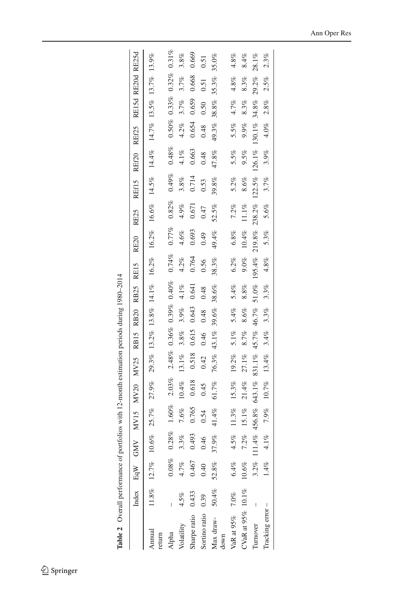<span id="page-9-0"></span>Table 2 Overall performance of portfolios with 12-month estimation periods during 1980-2014 **Table 2** Overall performance of portfolios with 12-month estimation periods during 1980–2014

|                   |          | Index $EqW$ GMV MV15       |                |           | <b>MV20</b> | <b>MV25</b> | RB <sub>15</sub> | <b>RB20</b> | RB25     | RE15                                                                    | <b>RE20</b> | <b>RE25</b> | REf15  | REf20        | REf25    | RE15d RE20d |          | RE25d    |
|-------------------|----------|----------------------------|----------------|-----------|-------------|-------------|------------------|-------------|----------|-------------------------------------------------------------------------|-------------|-------------|--------|--------------|----------|-------------|----------|----------|
| Annual<br>return  |          | $11.8\%$ $12.7\%$ $10.6\%$ |                | 25.7%     | 27.9%       |             |                  |             |          | 29.3% 13.2% 13.8% 14.1% 16.2% 16.2% 16.6% 14.5% 14.4% 14.7% 13.5% 13.7% |             |             |        |              |          |             |          | 13.9%    |
| Alpha             |          | $0.08\%$                   | $0.28\%$       | $1.60\%$  | 2.03%       | 2.48%       | 0.36%            | 0.39%       | 0.40%    | 0.74%                                                                   | 0.77%       | $0.82\%$    | 0.49%  | $0.48\%$     | $0.50\%$ | 0.33%       | $0.32\%$ | $0.31\%$ |
| Volatility        | $4.5\%$  |                            | 3.3%           | 7.6%      | $10.4\%$    | 13.1%       | $3.8\%$          | $3.9\%$     | $4.1\%$  | 4.2%                                                                    | $4.6\%$     | $4.9\%$     | 3.8%   | $4.1\%$      | $4.2\%$  | 3.7%        | 3.7%     | 3.8%     |
| Sharpe ratio      | 0.433    | $4.7%$<br>0.467            | .493           | 0.765     | 0.618       | 0.518       | 0.615            | 0.643       | 0.641    | 0.764                                                                   | 0.693       | 0.671       | 0.714  | 0.663        | 0.654    | 0.659       | 0.668    | 0.669    |
| Sortino ratio     | 0.39     | 0.40                       | $\frac{46}{5}$ | 0.54      | 0.45        | 0.42        | 0.46             | 0.48        | 0.48     | 0.56                                                                    | 0.49        | 0.47        | 0.53   | 0.48         | 0.48     | 0.50        | 0.51     | 0.51     |
| Max draw-<br>down | $50.4\%$ | $52.8\%$                   | 37.9%          | 41.4%     | 61.7%       | 76.3%       | 43.1%            | 39.6%       | 38.6%    | 38.3%                                                                   | 49.4%       | 52.5%       | 39.8%  | 47.8%        | 49.3%    | $38.8\%$    | 35.3%    | 35.0%    |
| VaR at 95% 7.0%   |          | $6.4\%$                    | $4.5\%$        | $11.3\%$  | 15.3%       | 19.2%       | 5.1%             | 5.4%        | 5.4%     | 6.2%                                                                    | $6.8\%$     | 7.2%        | 5.2%   | 5.5%         | 5.5%     | 4.7%        | $4.8\%$  | 4.8%     |
| CVaR at 95% 10.1% |          | $10.6\%$                   | 7.2%           | 15.1%     | 21.4%       | 27.1%       | 8.7%             | $8.6\%$     | 8.8%     | $9.0\%$                                                                 | $10.4\%$    | $11.1\%$    | 8.6%   | 9.5%         | $9.9\%$  | 8.3%        | 8.3%     | 8.4%     |
| <b>Turnover</b>   |          |                            | 3.2% $111.4\%$ | 456.8%    | 643.1%      | 831.1%      | 45.7%            | 46.7%       | $51.0\%$ | 195.4%                                                                  | 219.8%      | 238.2%      | 122.5% | 126.1%       | 130.1%   | 34.8%       | 29.2%    | $28.1\%$ |
| Tracking error-   |          | $1.4\%$                    |                | 4.1% 7.9% | $10.7\%$    | 13.4%       | 3.4%             | 3.3%        | 3.3%     | $4.8\%$                                                                 | $5.3\%$     | 5.6%        | 3.7%   | $3.9\%$ 4.0% |          | 2.8%        | 2.5%     | 2.3%     |
|                   |          |                            |                |           |             |             |                  |             |          |                                                                         |             |             |        |              |          |             |          |          |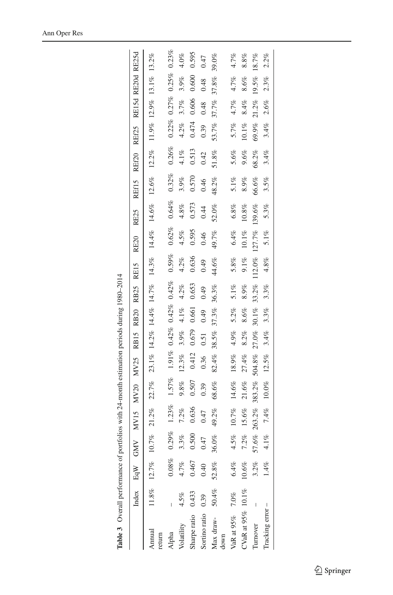<span id="page-10-0"></span>

| Table 3 Overall performance of portfolios with 24-month estimation periods during 1980-2014 |       |          |                         |              |                              |          |         |                      |                     |         |                                           |          |             |         |                         |         |       |         |
|---------------------------------------------------------------------------------------------|-------|----------|-------------------------|--------------|------------------------------|----------|---------|----------------------|---------------------|---------|-------------------------------------------|----------|-------------|---------|-------------------------|---------|-------|---------|
|                                                                                             |       |          |                         |              | Index EqW GMV MV15 MV20 MV25 |          |         |                      | RB15 RB20 RB25 RE15 |         | <b>RE20</b>                               | RE25     | REf15 REf20 |         | REf25 RE15d RE20d RE25d |         |       |         |
| Annual<br>return                                                                            |       |          | 11.8% 12.7% 10.7% 21.2% |              | 22.7%                        |          |         |                      |                     |         | 23.1% 14.2% 14.4% 14.7% 14.3% 14.4% 14.6% |          | 12.6%       | 12.2%   | 11.9% 12.9% 13.1% 13.2% |         |       |         |
| Alpha                                                                                       |       | $0.08\%$ | 0.29%                   | 1.23%        | 1.57%                        | $1.91\%$ |         | $0.42\%$ 0.42% 0.42% |                     | 0.59%   | 0.62%                                     | 0.64%    | 0.32%       | 0.26%   | 0.22%                   | 0.27%   | 0.25% | 0.23%   |
| Volatility                                                                                  | 4.5%  | 4.7%     | 3.3%                    | 7.2%         | 9.8%                         | 12.3%    | 3.9%    | $4.1\%$              | 4.2%                | 4.2%    | 4.5%                                      | $4.8\%$  | 3.9%        | $4.1\%$ | $4.2\%$                 | 3.7%    | 3.9%  | $4.0\%$ |
| Sharpe ratio                                                                                | 0.433 | 0.467    | 0.500                   | 0.636        | 0.507                        | 0.412    | 0.679   | 0.661                | 0.653               | 0.636   | 0.595                                     | 0.573    | 0.570       | 0.513   | 0.474                   | 0.606   | 0.600 | 0.595   |
| Sortino ratio                                                                               | 0.39  | 0.40     | 47                      | 0.47         | 0.39                         | 0.36     | 0.51    | 0.49                 | 0.49                | 0.49    | 0.46                                      | 0.44     | 0.46        | 0.42    | 0.39                    | 0.48    | 0.48  | 0.47    |
| Max draw-<br>down                                                                           | 50.4% | $52.8\%$ | 36.0%                   | 49.2%        | 68.6%                        | 82.4%    | 38.5%   | 37.3%                | 36.3%               | 44.6%   | 49.7%                                     | 52.0%    | 48.2%       | 51.8%   | 53.7%                   | 37.7%   | 37.8% | 39.0%   |
| VaR at 95% 7.0%                                                                             |       | $6.4\%$  | 4.5%                    | $10.7\%$     | 14.6%                        | 18.9%    | $4.9\%$ | $5.2\%$              | $5.1\%$             | 5.8%    | 6.4%                                      | $6.8\%$  | $5.1\%$     | 5.6%    | 5.7%                    | 4.7%    | 4.7%  | 4.7%    |
| CVaR at 95% 10.1%                                                                           |       | $10.6\%$ | 7.2%                    | 15.6%        | 21.6%                        | 27.4%    | 8.2%    | 8.6%                 | 8.9%                | $9.1\%$ | $10.1\%$                                  | $10.8\%$ | 8.9%        | 9.6%    | $10.1\%$                | 8.4%    | 8.6%  | 8.8%    |
| Turnover                                                                                    |       | 3.2%     | 57.6%                   | 263.2%       | 383.2%                       | 504.8%   | 27.0%   | $30.1\%$             | 33.2%               | 112.0%  | 127.7% 139.6%                             |          | 66.6%       | 68.2%   | 69.9%                   | 21.2%   | 19.5% | 18.7%   |
| Tracking error-                                                                             |       | $1.4\%$  |                         | $4.1\%$ 7.4% | $10.0\%$                     | $12.5\%$ | 3.4%    | $3.3\%$              | 3.3%                | $4.8\%$ | 5.1%                                      | 5.3%     | 3.5%        | 3.4%    | 3.4%                    | $2.6\%$ | 2.3%  | 2.2%    |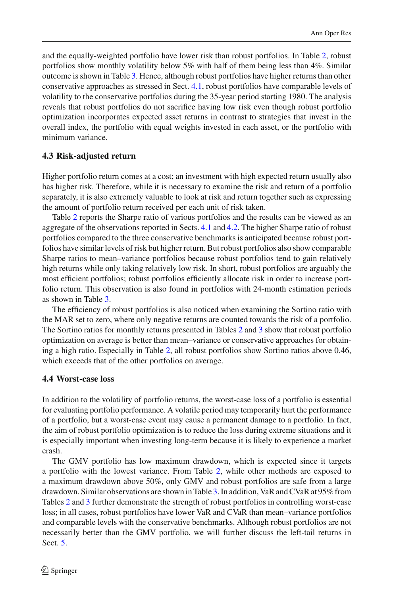and the equally-weighted portfolio have lower risk than robust portfolios. In Table [2,](#page-9-0) robust portfolios show monthly volatility below 5% with half of them being less than 4%. Similar outcome is shown in Table [3.](#page-10-0) Hence, although robust portfolios have higher returns than other conservative approaches as stressed in Sect. [4.1,](#page-7-1) robust portfolios have comparable levels of volatility to the conservative portfolios during the 35-year period starting 1980. The analysis reveals that robust portfolios do not sacrifice having low risk even though robust portfolio optimization incorporates expected asset returns in contrast to strategies that invest in the overall index, the portfolio with equal weights invested in each asset, or the portfolio with minimum variance.

# **4.3 Risk-adjusted return**

Higher portfolio return comes at a cost; an investment with high expected return usually also has higher risk. Therefore, while it is necessary to examine the risk and return of a portfolio separately, it is also extremely valuable to look at risk and return together such as expressing the amount of portfolio return received per each unit of risk taken.

Table [2](#page-9-0) reports the Sharpe ratio of various portfolios and the results can be viewed as an aggregate of the observations reported in Sects. [4.1](#page-7-1) and [4.2.](#page-8-1) The higher Sharpe ratio of robust portfolios compared to the three conservative benchmarks is anticipated because robust portfolios have similar levels of risk but higher return. But robust portfolios also show comparable Sharpe ratios to mean–variance portfolios because robust portfolios tend to gain relatively high returns while only taking relatively low risk. In short, robust portfolios are arguably the most efficient portfolios; robust portfolios efficiently allocate risk in order to increase portfolio return. This observation is also found in portfolios with 24-month estimation periods as shown in Table [3.](#page-10-0)

The efficiency of robust portfolios is also noticed when examining the Sortino ratio with the MAR set to zero, where only negative returns are counted towards the risk of a portfolio. The Sortino ratios for monthly returns presented in Tables [2](#page-9-0) and [3](#page-10-0) show that robust portfolio optimization on average is better than mean–variance or conservative approaches for obtaining a high ratio. Especially in Table [2,](#page-9-0) all robust portfolios show Sortino ratios above 0.46, which exceeds that of the other portfolios on average.

### **4.4 Worst-case loss**

In addition to the volatility of portfolio returns, the worst-case loss of a portfolio is essential for evaluating portfolio performance. A volatile period may temporarily hurt the performance of a portfolio, but a worst-case event may cause a permanent damage to a portfolio. In fact, the aim of robust portfolio optimization is to reduce the loss during extreme situations and it is especially important when investing long-term because it is likely to experience a market crash.

The GMV portfolio has low maximum drawdown, which is expected since it targets a portfolio with the lowest variance. From Table [2,](#page-9-0) while other methods are exposed to a maximum drawdown above 50%, only GMV and robust portfolios are safe from a large drawdown. Similar observations are shown in Table [3.](#page-10-0) In addition, VaR and CVaR at 95% from Tables [2](#page-9-0) and [3](#page-10-0) further demonstrate the strength of robust portfolios in controlling worst-case loss; in all cases, robust portfolios have lower VaR and CVaR than mean–variance portfolios and comparable levels with the conservative benchmarks. Although robust portfolios are not necessarily better than the GMV portfolio, we will further discuss the left-tail returns in Sect. [5.](#page-12-0)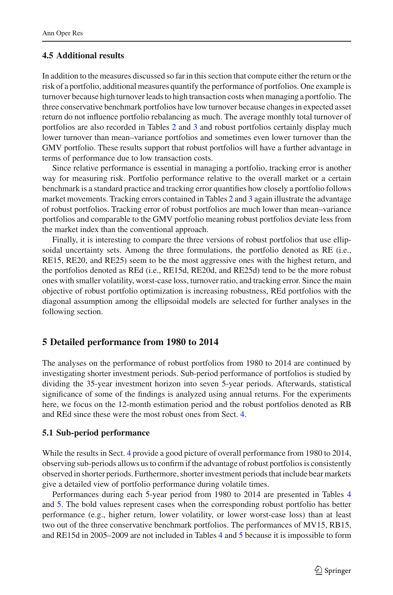#### **4.5 Additional results**

In addition to the measures discussed so far in this section that compute either the return or the risk of a portfolio, additional measures quantify the performance of portfolios. One example is turnover because high turnover leads to high transaction costs when managing a portfolio. The three conservative benchmark portfolios have low turnover because changes in expected asset return do not influence portfolio rebalancing as much. The average monthly total turnover of portfolios are also recorded in Tables [2](#page-9-0) and [3](#page-10-0) and robust portfolios certainly display much lower turnover than mean–variance portfolios and sometimes even lower turnover than the GMV portfolio. These results support that robust portfolios will have a further advantage in terms of performance due to low transaction costs.

Since relative performance is essential in managing a portfolio, tracking error is another way for measuring risk. Portfolio performance relative to the overall market or a certain benchmark is a standard practice and tracking error quantifies how closely a portfolio follows market movements. Tracking errors contained in Tables [2](#page-9-0) and [3](#page-10-0) again illustrate the advantage of robust portfolios. Tracking error of robust portfolios are much lower than mean–variance portfolios and comparable to the GMV portfolio meaning robust portfolios deviate less from the market index than the conventional approach.

Finally, it is interesting to compare the three versions of robust portfolios that use ellipsoidal uncertainty sets. Among the three formulations, the portfolio denoted as RE (i.e., RE15, RE20, and RE25) seem to be the most aggressive ones with the highest return, and the portfolios denoted as REd (i.e., RE15d, RE20d, and RE25d) tend to be the more robust ones with smaller volatility, worst-case loss, turnover ratio, and tracking error. Since the main objective of robust portfolio optimization is increasing robustness, REd portfolios with the diagonal assumption among the ellipsoidal models are selected for further analyses in the following section.

#### <span id="page-12-0"></span>**5 Detailed performance from 1980 to 2014**

The analyses on the performance of robust portfolios from 1980 to 2014 are continued by investigating shorter investment periods. Sub-period performance of portfolios is studied by dividing the 35-year investment horizon into seven 5-year periods. Afterwards, statistical significance of some of the findings is analyzed using annual returns. For the experiments here, we focus on the 12-month estimation period and the robust portfolios denoted as RB and REd since these were the most robust ones from Sect. [4.](#page-7-0)

#### <span id="page-12-1"></span>**5.1 Sub-period performance**

While the results in Sect. [4](#page-7-0) provide a good picture of overall performance from 1980 to 2014, observing sub-periods allows us to confirm if the advantage of robust portfolios is consistently observed in shorter periods. Furthermore, shorter investment periods that include bear markets give a detailed view of portfolio performance during volatile times.

Performances during each 5-year period from 1980 to 2014 are presented in Tables [4](#page-14-0) and [5.](#page-15-0) The bold values represent cases when the corresponding robust portfolio has better performance (e.g., higher return, lower volatility, or lower worst-case loss) than at least two out of the three conservative benchmark portfolios. The performances of MV15, RB15, and RE15d in 2005–2009 are not included in Tables [4](#page-14-0) and [5](#page-15-0) because it is impossible to form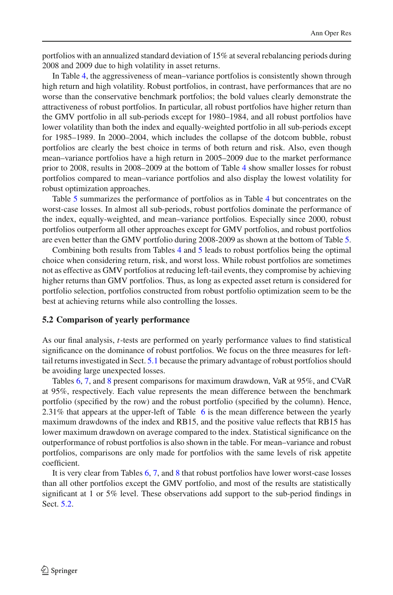portfolios with an annualized standard deviation of 15% at several rebalancing periods during 2008 and 2009 due to high volatility in asset returns.

In Table [4,](#page-14-0) the aggressiveness of mean–variance portfolios is consistently shown through high return and high volatility. Robust portfolios, in contrast, have performances that are no worse than the conservative benchmark portfolios; the bold values clearly demonstrate the attractiveness of robust portfolios. In particular, all robust portfolios have higher return than the GMV portfolio in all sub-periods except for 1980–1984, and all robust portfolios have lower volatility than both the index and equally-weighted portfolio in all sub-periods except for 1985–1989. In 2000–2004, which includes the collapse of the dotcom bubble, robust portfolios are clearly the best choice in terms of both return and risk. Also, even though mean–variance portfolios have a high return in 2005–2009 due to the market performance prior to 2008, results in 2008–2009 at the bottom of Table [4](#page-14-0) show smaller losses for robust portfolios compared to mean–variance portfolios and also display the lowest volatility for robust optimization approaches.

Table [5](#page-15-0) summarizes the performance of portfolios as in Table [4](#page-14-0) but concentrates on the worst-case losses. In almost all sub-periods, robust portfolios dominate the performance of the index, equally-weighted, and mean–variance portfolios. Especially since 2000, robust portfolios outperform all other approaches except for GMV portfolios, and robust portfolios are even better than the GMV portfolio during 2008-2009 as shown at the bottom of Table [5.](#page-15-0)

Combining both results from Tables [4](#page-14-0) and [5](#page-15-0) leads to robust portfolios being the optimal choice when considering return, risk, and worst loss. While robust portfolios are sometimes not as effective as GMV portfolios at reducing left-tail events, they compromise by achieving higher returns than GMV portfolios. Thus, as long as expected asset return is considered for portfolio selection, portfolios constructed from robust portfolio optimization seem to be the best at achieving returns while also controlling the losses.

#### <span id="page-13-0"></span>**5.2 Comparison of yearly performance**

As our final analysis, *t*-tests are performed on yearly performance values to find statistical significance on the dominance of robust portfolios. We focus on the three measures for lefttail returns investigated in Sect. [5.1](#page-12-1) because the primary advantage of robust portfolios should be avoiding large unexpected losses.

Tables [6,](#page-16-0) [7,](#page-16-1) and [8](#page-16-2) present comparisons for maximum drawdown, VaR at 95%, and CVaR at 95%, respectively. Each value represents the mean difference between the benchmark portfolio (specified by the row) and the robust portfolio (specified by the column). Hence, 2.31% that appears at the upper-left of Table [6](#page-16-0) is the mean difference between the yearly maximum drawdowns of the index and RB15, and the positive value reflects that RB15 has lower maximum drawdown on average compared to the index. Statistical significance on the outperformance of robust portfolios is also shown in the table. For mean–variance and robust portfolios, comparisons are only made for portfolios with the same levels of risk appetite coefficient.

It is very clear from Tables [6,](#page-16-0) [7,](#page-16-1) and [8](#page-16-2) that robust portfolios have lower worst-case losses than all other portfolios except the GMV portfolio, and most of the results are statistically significant at 1 or 5% level. These observations add support to the sub-period findings in Sect. [5.2.](#page-13-0)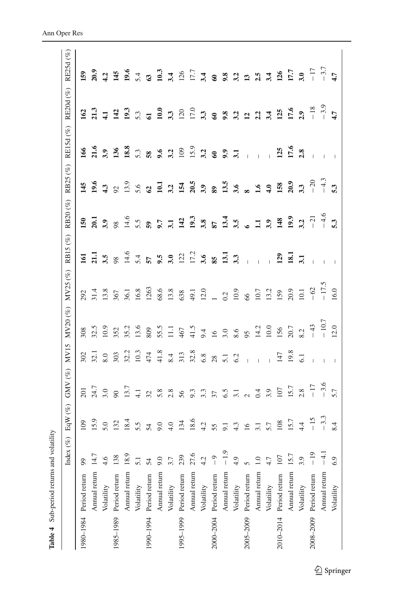|               | $(\%)$<br>Index (                                                                                                                                                                                                    | EqW $(\%)$    | GMV $(\%)$                                                           | MV15                                                                                                                                            | MV20 (%) MV25 (%)                         |                                           | RB15 (%)                                                              | RB20(%)                                                                                                      | RB25 (%)                                                            | RE15d (%)                                                                                                | RE20d (%)                                                                       | RE25d (%)                                                           |
|---------------|----------------------------------------------------------------------------------------------------------------------------------------------------------------------------------------------------------------------|---------------|----------------------------------------------------------------------|-------------------------------------------------------------------------------------------------------------------------------------------------|-------------------------------------------|-------------------------------------------|-----------------------------------------------------------------------|--------------------------------------------------------------------------------------------------------------|---------------------------------------------------------------------|----------------------------------------------------------------------------------------------------------|---------------------------------------------------------------------------------|---------------------------------------------------------------------|
|               | 99                                                                                                                                                                                                                   | 109           | $\overline{201}$                                                     | 302                                                                                                                                             | 308                                       | 292                                       | $\overline{5}$                                                        | 150                                                                                                          | 145                                                                 | 166                                                                                                      | 162                                                                             | 159                                                                 |
|               | 14.7                                                                                                                                                                                                                 |               |                                                                      | $\overline{32.1}$                                                                                                                               |                                           |                                           |                                                                       |                                                                                                              | 0.6                                                                 |                                                                                                          |                                                                                 | 20.9                                                                |
| Volatility    | 4.6                                                                                                                                                                                                                  |               |                                                                      | $\rm 8.0$                                                                                                                                       | 10.9                                      |                                           |                                                                       |                                                                                                              |                                                                     |                                                                                                          |                                                                                 | $\frac{1}{4}$                                                       |
|               | 138                                                                                                                                                                                                                  |               |                                                                      | 303                                                                                                                                             |                                           | 367                                       |                                                                       |                                                                                                              |                                                                     |                                                                                                          |                                                                                 |                                                                     |
| Annual return | 18.9                                                                                                                                                                                                                 | 18.4          |                                                                      | 32.2                                                                                                                                            | 35.2                                      | 36.1                                      |                                                                       |                                                                                                              |                                                                     |                                                                                                          |                                                                                 | $145$<br>$19.6$                                                     |
| Volatility    | $\overline{51}$                                                                                                                                                                                                      | 5.5           |                                                                      | 10.3                                                                                                                                            | 13.6                                      | 16.8                                      | 5.4                                                                   |                                                                                                              |                                                                     |                                                                                                          |                                                                                 |                                                                     |
|               | 54                                                                                                                                                                                                                   | $\mathcal{L}$ |                                                                      | 474                                                                                                                                             | 809                                       | 1263                                      | 57                                                                    |                                                                                                              |                                                                     | 58                                                                                                       |                                                                                 | 5.4                                                                 |
| Annual return | 9.0                                                                                                                                                                                                                  |               |                                                                      | 41.8                                                                                                                                            |                                           |                                           |                                                                       |                                                                                                              |                                                                     |                                                                                                          |                                                                                 | 10.3                                                                |
| Volatility    |                                                                                                                                                                                                                      | 4.0           |                                                                      | 8.4                                                                                                                                             | $\Xi$                                     |                                           |                                                                       |                                                                                                              |                                                                     |                                                                                                          |                                                                                 | 3.4                                                                 |
|               | 239                                                                                                                                                                                                                  | 134           |                                                                      | 313                                                                                                                                             |                                           |                                           |                                                                       |                                                                                                              |                                                                     |                                                                                                          |                                                                                 |                                                                     |
| Annual return | 27.6                                                                                                                                                                                                                 | 18.6          |                                                                      |                                                                                                                                                 |                                           | 49.1                                      |                                                                       |                                                                                                              |                                                                     | 15.9                                                                                                     | 17.0                                                                            | 17.7                                                                |
| Volatility    | 4.2                                                                                                                                                                                                                  | 4.2           |                                                                      | $6.8\,$                                                                                                                                         | 6.6                                       | 12.0                                      |                                                                       |                                                                                                              |                                                                     |                                                                                                          |                                                                                 |                                                                     |
|               | $\overline{0}$                                                                                                                                                                                                       |               |                                                                      |                                                                                                                                                 | $\overline{6}$                            |                                           |                                                                       |                                                                                                              |                                                                     |                                                                                                          |                                                                                 |                                                                     |
| Annual return |                                                                                                                                                                                                                      |               |                                                                      |                                                                                                                                                 | 3.0                                       |                                           |                                                                       |                                                                                                              |                                                                     |                                                                                                          |                                                                                 |                                                                     |
| Volatility    | 4.9                                                                                                                                                                                                                  |               |                                                                      |                                                                                                                                                 | $8.6\,$                                   | 10.9                                      | 3.3                                                                   |                                                                                                              |                                                                     |                                                                                                          |                                                                                 | 3. 2 3 3 5 4 5 5 6                                                  |
|               | 5                                                                                                                                                                                                                    |               |                                                                      | $\overline{1}$                                                                                                                                  | 95                                        | $66$                                      | $\overline{1}$                                                        |                                                                                                              |                                                                     | $\overline{1}$                                                                                           |                                                                                 |                                                                     |
| Annual return |                                                                                                                                                                                                                      |               |                                                                      |                                                                                                                                                 | 14.2                                      |                                           |                                                                       |                                                                                                              |                                                                     |                                                                                                          |                                                                                 |                                                                     |
| Volatility    |                                                                                                                                                                                                                      | 5.7           |                                                                      | $\overline{1}$                                                                                                                                  | 10.0                                      |                                           |                                                                       |                                                                                                              |                                                                     | $\overline{1}$                                                                                           |                                                                                 |                                                                     |
|               | 107                                                                                                                                                                                                                  |               |                                                                      | 147                                                                                                                                             |                                           | 159                                       | 129                                                                   |                                                                                                              |                                                                     | 125                                                                                                      |                                                                                 |                                                                     |
| Annual return | 15.7                                                                                                                                                                                                                 | 15.7          |                                                                      |                                                                                                                                                 | 20.7                                      | 20.9                                      |                                                                       |                                                                                                              | 20.9                                                                | 17.6                                                                                                     |                                                                                 | 17.7                                                                |
| Volatility    | 3.9                                                                                                                                                                                                                  | 4.4           | 2.8                                                                  |                                                                                                                                                 | 8.2                                       | 10.1                                      | 3.1                                                                   | 3.2                                                                                                          | 3.3                                                                 |                                                                                                          | 2.9                                                                             | 3.0                                                                 |
|               | $-19$                                                                                                                                                                                                                | $-15$         |                                                                      |                                                                                                                                                 | $-43$                                     | $-62$                                     | $\overline{\phantom{0}}$                                              |                                                                                                              | $-20$                                                               |                                                                                                          |                                                                                 | $-17$<br>$-3.7$<br>4.7                                              |
| Annual return | $-4.1$                                                                                                                                                                                                               |               |                                                                      |                                                                                                                                                 | $-10.7$                                   | $-17.5$                                   |                                                                       | $-4.6$                                                                                                       | $-4.3$                                                              |                                                                                                          |                                                                                 |                                                                     |
| Volatility    | 6.9                                                                                                                                                                                                                  | 8.4           | 5.7                                                                  |                                                                                                                                                 | 12.0                                      | 16.0                                      | $\overline{\phantom{a}}$                                              | 5.3                                                                                                          | 5.3                                                                 |                                                                                                          |                                                                                 |                                                                     |
|               | 1990-1994 Period return<br>1985-1989 Period return<br>1995-1999 Period return<br>2000-2004 Period return<br>2005-2009 Period return<br>2010-2014 Period return<br>2008-2009 Period return<br>1980-1984 Period return | Annual return | $-3.3$<br>15.9<br>132<br>5.0<br>108<br>9.0<br>4.3<br>55<br>16<br>3.1 | $-17$<br>$-3.6$<br>24.7<br>3.0<br>13.7<br>15.7<br>$3.355$ $3.55$ $3.5$ $3.5$ $3.5$ $3.5$ $3.5$ $3.5$<br>$\frac{1}{4}$ 32 $\frac{8}{5}$ 32<br>56 | 32.8<br>19.8<br>$28$<br>5.1<br>6.2<br>6.1 | 55.5<br>32.5<br>41.5<br>156<br>352<br>467 | $68.6$<br>13.8<br>$10.7$<br>13.2<br>31.4<br>13.8<br>638<br>$1 \t 0.2$ | $\frac{11}{3.5}$ $\frac{8}{4.6}$<br>$\frac{17.2}{3.6}$ 85.13.1<br>$9.5$<br>$3.0$<br>$122$<br>$\overline{18}$ | 19.9<br>$-21$<br>98<br>14.6<br>$\overline{a}$ $\overline{a}$<br>5.5 | $26.38$ $3.58$ $4.38$<br>$4.3$<br>92<br>13.9<br>$\frac{1}{2}$ $\frac{3}{2}$ $\frac{1}{2}$<br>$5.6$<br>62 | 21.6<br>$3.36$<br>$136$<br>9.6<br>3.2<br>109<br>5.3<br>$3.3$ $8.3$ $3.1$<br>2.8 | $-3.9$<br>$-18$<br>17.6<br>111233600330<br>3 8 9 3 2 2 3 3 5<br>4.7 |

<span id="page-14-0"></span>Table 4 Sub-period returns and volatility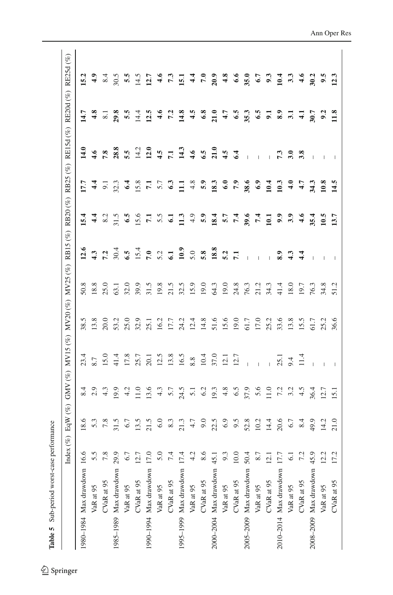<span id="page-15-0"></span>Table 5 Sub-period worst-case performance **Table 5** Sub-period worst-case performance

|                             | $(\%)$<br>Index  | EqW $(\%)$              |                                      | GMV (%) MV15 (%) MV20 (%) MV25 (%) |      |      | RB15(%)                     |                  |                | RB20 (%) RB25 (%) RE15d (%) RE20d (%) |                  | RE25d (%)         |
|-----------------------------|------------------|-------------------------|--------------------------------------|------------------------------------|------|------|-----------------------------|------------------|----------------|---------------------------------------|------------------|-------------------|
| 1980-1984 Max drawdown 16.6 |                  | 18.6                    |                                      | 23.4                               | 38.5 | 50.8 | 12.6                        | 15.4             | 17.7           | 14.0                                  | 14.7             | 15.2              |
| VaR at 95                   | 5.5              |                         | $8.9$<br>$2.9$                       | 8.7                                | 13.8 | 18.8 |                             | $\frac{4}{4}$    |                | $\ddot{16}$                           | 4.8              | $\ddot{a}$        |
| CVaR at 95                  | 7.8              | $5.\overline{3}$<br>7.8 | 4.3                                  | 15.0                               | 20.0 | 25.0 | $\frac{3}{7}$ $\frac{3}{7}$ | 8.2              | $4\frac{1}{9}$ | 7.8                                   | $\overline{8.1}$ | 8.4               |
| 1985-1989 Max drawdown 29.9 |                  | 31.5                    | 0.01                                 | 41.4                               | 53.2 | 63.1 | 30.4                        | $31.5$<br>6.5    | 32.3           | 28.8                                  | 29.8             | 30.5              |
| VaR at 95                   | 6.7              | $6.7$                   | 4.2                                  | 17.8                               | 25.0 | 32.0 | $6.\overline{5}$            |                  | 6.4            | 5.5                                   | 5.5              | 5.5               |
| CVaR at 95                  | 12.7             | 13.5                    | 11.0                                 | 25.7                               | 32.9 | 39.9 | 15.4                        | 15.6             | 15.8           | 14.2                                  | 14.4             | 14.5              |
| 1990-1994 Max drawdown      | 17.0             | 21.5                    | 13.6                                 | 20.1                               | 25.1 | 31.5 | 7.0                         | $\mathbf{r}$     | $\mathbf{r}$   | 12.0                                  | 12.5             | 12.7              |
| VaR at 95                   | 5.0              | $6.0\,$                 | 4.3                                  | 12.5                               | 16.2 | 19.8 | 5.2                         | 5.5              | 5.7            | 4.5                                   | $\ddot{a}$       | $\ddot{a}$        |
| CVaR at 95                  | 7.4              | 8.3                     | 5.7                                  | 13.8                               | 17.7 | 21.5 | $\overline{61}$             |                  | 6.3            | $\overline{z}$                        | 7.2              | $\mathbf{r}$      |
| 1995-1999 Max drawdown 17.4 |                  | 21.3                    | 24.5                                 | 16.5                               | 24.2 | 32.5 | 10.9                        | $\frac{13}{2}$   | $\Xi$          | 14.3                                  | 14.8             | 15.1              |
| VaR at 95                   | 4.2              | 4.7                     | $5.\overline{1}$<br>$6.\overline{2}$ | $8.8\,$                            | 12.4 | 15.9 | 5.0                         | 4.9              | 4.8            | 4.6                                   | 4.5              | 4.4               |
| CVaR at 95                  | 8.6              | 9.0                     |                                      | 10.4                               | 14.8 | 19.0 | 5.8                         | 5.9              | 5.9            | 6.5                                   | 6.8              | $\overline{2}$    |
| 2000-2004 Max drawdown 45.1 |                  | 22.5                    | 19.3                                 | 37.0                               | 51.6 | 64.3 | 18.8                        | 18.4             | 18.3           | 21.0                                  | 21.0             | 20.9              |
| VaR at 95                   | 9.3              | 6.9                     | 4.8                                  | 12.1                               | 15.6 | 19.0 | 5.2                         | 5.7              | 6.0            | 4.5                                   | 4.7              | 4.8               |
| CVaR at 95                  | $10.0$           | 9.5                     | $\widetilde{6.5}$                    | 12.7                               | 19.0 | 24.8 | $\overline{5}$              | 7.4              | $\tilde{z}$    | 6.4                                   | 6.5              | 6.6               |
| 2005-2009 Max drawdown 50.4 |                  | 52.8                    | 37.9                                 | $\overline{1}$                     | 61.7 | 76.3 | $\overline{1}$              | 39.6             | 38.6           | $\overline{1}$                        | 35.3             | 35.0              |
| VaR at 95                   | 8.7              | 10.2                    | 5.6                                  |                                    | 17.0 | 21.2 | Ĭ.                          | 7.4              | 6.9            | Ĺ                                     | 6.5              | 6.7               |
| CVaR at 95                  | $\frac{12.1}{2}$ | 14.4                    | 11.0                                 | $\overline{1}$                     | 25.2 | 34.3 |                             | $\overline{101}$ | 10.4           | Ĺ                                     | $\overline{5}$   | 9.3               |
| 2010-2014 Max drawdown 17.7 |                  | 20.6                    | 7.2                                  | 25.1                               | 33.6 | 41.4 | 8.9                         | $9.9$<br>$3.9$   | 10.3           | 7.3                                   | 8.9              | 10.4              |
| VaR at 95                   | $\overline{61}$  | 6.7                     | 3.2                                  | 9.4                                | 13.8 | 18.0 | 4.3                         |                  | $\frac{1}{4}$  | 3.0                                   | $\overline{3}$   | 33                |
| CVaR at 95                  | 7.2              | 8.4                     | 4.5                                  | 11.4                               | 15.5 | 19.7 | $\frac{4}{4}$               | 4.6              | 4.7            | 3.8                                   | $\overline{4}$   | $\frac{6}{4}$     |
| 2008-2009 Max drawdown 45.9 |                  | 49.9                    | 36.4                                 |                                    | 61.7 | 76.3 |                             | 35.4             | 34.3           | $\overline{\phantom{a}}$              | 30.7             | 30.2              |
| VaR at 95                   | 12.2             | 14.2                    | 12.7                                 |                                    | 25.2 | 34.8 |                             | 10.5             | 10.8           | $\overline{1}$                        | 9.2              | $\ddot{9}$ .      |
| CVaR at 95                  | 17.2             | 21.0                    | $\overline{5}$                       | $\overline{\phantom{a}}$           | 36.6 | 51.2 | $\overline{\phantom{a}}$    | 13.7             | 14.5           | $\overline{\phantom{a}}$              | 11.8             | $\overline{12.3}$ |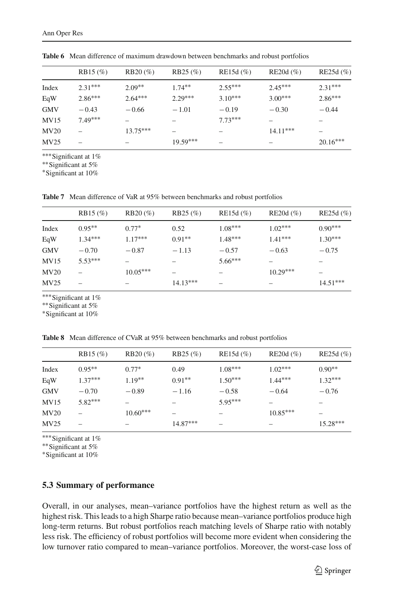<span id="page-16-0"></span>

|            | $RB15 (\%)$ | $RB20 (\%)$ | $RB25 (\%)$ | RE15d $(\%)$ | $RE20d$ $(\% )$ | RE25d $(\%)$ |
|------------|-------------|-------------|-------------|--------------|-----------------|--------------|
| Index      | $2.31***$   | $2.09**$    | $1.74**$    | $2.55***$    | $2.45***$       | $2.31***$    |
| EqW        | $2.86***$   | $2.64***$   | $2.29***$   | $3.10***$    | $3.00***$       | $2.86***$    |
| <b>GMV</b> | $-0.43$     | $-0.66$     | $-1.01$     | $-0.19$      | $-0.30$         | $-0.44$      |
| MV15       | $7.49***$   |             |             | $7.73***$    |                 |              |
| MV20       |             | $13.75***$  |             |              | $14.11***$      |              |
| MV25       |             |             | $19.59***$  |              |                 | $20.16***$   |
|            |             |             |             |              |                 |              |

**Table 6** Mean difference of maximum drawdown between benchmarks and robust portfolios

∗∗∗Significant at 1%

∗∗Significant at 5%

∗Significant at 10%

<span id="page-16-1"></span>**Table 7** Mean difference of VaR at 95% between benchmarks and robust portfolios

|                   | $RB15 (\%)$ | $RB20 (\%)$ | $RB25 (\%)$ | RE15d $(\%)$ | RE20d $(\% )$ | RE25d $(\%)$ |
|-------------------|-------------|-------------|-------------|--------------|---------------|--------------|
| Index             | $0.95***$   | $0.77*$     | 0.52        | $1.08***$    | $1.02***$     | $0.90***$    |
| EqW               | $1.34***$   | $1.17***$   | $0.91**$    | $1.48***$    | $1.41***$     | $1.30***$    |
| <b>GMV</b>        | $-0.70$     | $-0.87$     | $-1.13$     | $-0.57$      | $-0.63$       | $-0.75$      |
| MV15              | $5.53***$   |             |             | $5.66***$    |               |              |
| M <sub>V</sub> 20 |             | $10.05***$  |             |              | $10.29***$    |              |
| MV25              |             |             | $14.13***$  |              |               | $14.51***$   |

∗∗∗Significant at 1%

∗∗Significant at 5%

∗Significant at 10%

**Table 8** Mean difference of CVaR at 95% between benchmarks and robust portfolios

<span id="page-16-2"></span>

|            | $RB15 (\%)$ | $RB20 (\%)$ | $RB25 (\%)$ | RE15d $(\%)$ | RE20d $(\% )$ | RE25d $(\%$ |
|------------|-------------|-------------|-------------|--------------|---------------|-------------|
| Index      | $0.95***$   | $0.77*$     | 0.49        | $1.08***$    | $1.02***$     | $0.90**$    |
| EqW        | $1.37***$   | $1.19**$    | $0.91**$    | $1.50***$    | $1.44***$     | $1.32***$   |
| <b>GMV</b> | $-0.70$     | $-0.89$     | $-1.16$     | $-0.58$      | $-0.64$       | $-0.76$     |
| MV15       | $5.82***$   |             |             | $5.95***$    |               |             |
| MV20       |             | $10.60***$  |             |              | $10.85***$    |             |
| MV25       |             |             | $14.87***$  |              |               | $15.28***$  |
|            |             |             |             |              |               |             |

∗∗∗Significant at 1%

∗∗Significant at 5%

∗Significant at 10%

#### **5.3 Summary of performance**

Overall, in our analyses, mean–variance portfolios have the highest return as well as the highest risk. This leads to a high Sharpe ratio because mean–variance portfolios produce high long-term returns. But robust portfolios reach matching levels of Sharpe ratio with notably less risk. The efficiency of robust portfolios will become more evident when considering the low turnover ratio compared to mean–variance portfolios. Moreover, the worst-case loss of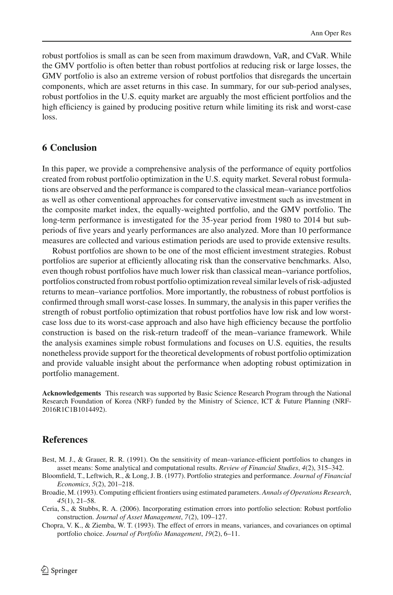robust portfolios is small as can be seen from maximum drawdown, VaR, and CVaR. While the GMV portfolio is often better than robust portfolios at reducing risk or large losses, the GMV portfolio is also an extreme version of robust portfolios that disregards the uncertain components, which are asset returns in this case. In summary, for our sub-period analyses, robust portfolios in the U.S. equity market are arguably the most efficient portfolios and the high efficiency is gained by producing positive return while limiting its risk and worst-case loss.

# <span id="page-17-4"></span>**6 Conclusion**

In this paper, we provide a comprehensive analysis of the performance of equity portfolios created from robust portfolio optimization in the U.S. equity market. Several robust formulations are observed and the performance is compared to the classical mean–variance portfolios as well as other conventional approaches for conservative investment such as investment in the composite market index, the equally-weighted portfolio, and the GMV portfolio. The long-term performance is investigated for the 35-year period from 1980 to 2014 but subperiods of five years and yearly performances are also analyzed. More than 10 performance measures are collected and various estimation periods are used to provide extensive results.

Robust portfolios are shown to be one of the most efficient investment strategies. Robust portfolios are superior at efficiently allocating risk than the conservative benchmarks. Also, even though robust portfolios have much lower risk than classical mean–variance portfolios, portfolios constructed from robust portfolio optimization reveal similar levels of risk-adjusted returns to mean–variance portfolios. More importantly, the robustness of robust portfolios is confirmed through small worst-case losses. In summary, the analysis in this paper verifies the strength of robust portfolio optimization that robust portfolios have low risk and low worstcase loss due to its worst-case approach and also have high efficiency because the portfolio construction is based on the risk-return tradeoff of the mean–variance framework. While the analysis examines simple robust formulations and focuses on U.S. equities, the results nonetheless provide support for the theoretical developments of robust portfolio optimization and provide valuable insight about the performance when adopting robust optimization in portfolio management.

**Acknowledgements** This research was supported by Basic Science Research Program through the National Research Foundation of Korea (NRF) funded by the Ministry of Science, ICT & Future Planning (NRF-2016R1C1B1014492).

### **References**

- <span id="page-17-1"></span>Best, M. J., & Grauer, R. R. (1991). On the sensitivity of mean–variance-efficient portfolios to changes in asset means: Some analytical and computational results. *Review of Financial Studies*, *4*(2), 315–342.
- <span id="page-17-0"></span>Bloomfield, T., Leftwich, R., & Long, J. B. (1977). Portfolio strategies and performance. *Journal of Financial Economics*, *5*(2), 201–218.
- <span id="page-17-2"></span>Broadie, M. (1993). Computing efficient frontiers using estimated parameters. *Annals of Operations Research*, *45*(1), 21–58.
- <span id="page-17-3"></span>Ceria, S., & Stubbs, R. A. (2006). Incorporating estimation errors into portfolio selection: Robust portfolio construction. *Journal of Asset Management*, *7*(2), 109–127.
- <span id="page-17-5"></span>Chopra, V. K., & Ziemba, W. T. (1993). The effect of errors in means, variances, and covariances on optimal portfolio choice. *Journal of Portfolio Management*, *19*(2), 6–11.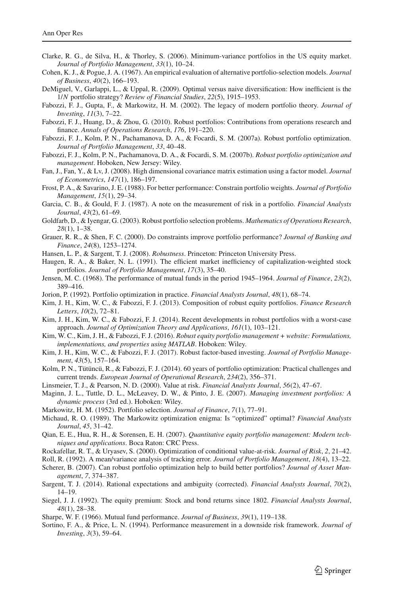- <span id="page-18-8"></span>Clarke, R. G., de Silva, H., & Thorley, S. (2006). Minimum-variance portfolios in the US equity market. *Journal of Portfolio Management*, *33*(1), 10–24.
- <span id="page-18-3"></span>Cohen, K. J., & Pogue, J. A. (1967). An empirical evaluation of alternative portfolio-selection models. *Journal of Business*, *40*(2), 166–193.
- <span id="page-18-9"></span>DeMiguel, V., Garlappi, L., & Uppal, R. (2009). Optimal versus naive diversification: How inefficient is the 1/*N* portfolio strategy? *Review of Financial Studies*, *22*(5), 1915–1953.
- <span id="page-18-1"></span>Fabozzi, F. J., Gupta, F., & Markowitz, H. M. (2002). The legacy of modern portfolio theory. *Journal of Investing*, *11*(3), 7–22.
- <span id="page-18-14"></span>Fabozzi, F. J., Huang, D., & Zhou, G. (2010). Robust portfolios: Contributions from operations research and finance. *Annals of Operations Research*, *176*, 191–220.
- <span id="page-18-18"></span>Fabozzi, F. J., Kolm, P. N., Pachamanova, D. A., & Focardi, S. M. (2007a). Robust portfolio optimization. *Journal of Portfolio Management*, *33*, 40–48.
- <span id="page-18-19"></span>Fabozzi, F. J., Kolm, P. N., Pachamanova, D. A., & Focardi, S. M. (2007b). *Robust portfolio optimization and management*. Hoboken, New Jersey: Wiley.
- <span id="page-18-10"></span>Fan, J., Fan, Y., & Lv, J. (2008). High dimensional covariance matrix estimation using a factor model. *Journal of Econometrics*, *147*(1), 186–197.
- <span id="page-18-5"></span>Frost, P. A., & Savarino, J. E. (1988). For better performance: Constrain portfolio weights. *Journal of Portfolio Management*, *15*(1), 29–34.
- <span id="page-18-25"></span>Garcia, C. B., & Gould, F. J. (1987). A note on the measurement of risk in a portfolio. *Financial Analysts Journal*, *43*(2), 61–69.
- <span id="page-18-17"></span>Goldfarb, D., & Iyengar, G. (2003). Robust portfolio selection problems. *Mathematics of Operations Research*, *28*(1), 1–38.
- <span id="page-18-6"></span>Grauer, R. R., & Shen, F. C. (2000). Do constraints improve portfolio performance? *Journal of Banking and Finance*, *24*(8), 1253–1274.
- <span id="page-18-12"></span>Hansen, L. P., & Sargent, T. J. (2008). *Robustness*. Princeton: Princeton University Press.
- <span id="page-18-7"></span>Haugen, R. A., & Baker, N. L. (1991). The efficient market inefficiency of capitalization-weighted stock portfolios. *Journal of Portfolio Management*, *17*(3), 35–40.
- <span id="page-18-22"></span>Jensen, M. C. (1968). The performance of mutual funds in the period 1945–1964. *Journal of Finance*, *23*(2), 389–416.
- <span id="page-18-4"></span>Jorion, P. (1992). Portfolio optimization in practice. *Financial Analysts Journal*, *48*(1), 68–74.
- <span id="page-18-31"></span>Kim, J. H., Kim, W. C., & Fabozzi, F. J. (2013). Composition of robust equity portfolios. *Finance Research Letters*, *10*(2), 72–81.
- <span id="page-18-15"></span>Kim, J. H., Kim, W. C., & Fabozzi, F. J. (2014). Recent developments in robust portfolios with a worst-case approach. *Journal of Optimization Theory and Applications*, *161*(1), 103–121.
- <span id="page-18-20"></span>Kim, W. C., Kim, J. H., & Fabozzi, F. J. (2016). *Robust equity portfolio management + website: Formulations, implementations, and properties using MATLAB*. Hoboken: Wiley.
- <span id="page-18-21"></span>Kim, J. H., Kim, W. C., & Fabozzi, F. J. (2017). Robust factor-based investing. *Journal of Portfolio Management*, *43*(5), 157–164.
- <span id="page-18-2"></span>Kolm, P. N., Tütüncü, R., & Fabozzi, F. J. (2014). 60 years of portfolio optimization: Practical challenges and current trends. *European Journal of Operational Research*, *234*(2), 356–371.
- <span id="page-18-26"></span>Linsmeier, T. J., & Pearson, N. D. (2000). Value at risk. *Financial Analysts Journal*, *56*(2), 47–67.
- <span id="page-18-27"></span>Maginn, J. L., Tuttle, D. L., McLeavey, D. W., & Pinto, J. E. (2007). *Managing investment portfolios: A dynamic process* (3rd ed.). Hoboken: Wiley.
- <span id="page-18-0"></span>Markowitz, H. M. (1952). Portfolio selection. *Journal of Finance*, *7*(1), 77–91.
- <span id="page-18-11"></span>Michaud, R. O. (1989). The Markowitz optimization enigma: Is "optimized" optimal? *Financial Analysts Journal*, *45*, 31–42.
- <span id="page-18-29"></span>Qian, E. E., Hua, R. H., & Sorensen, E. H. (2007). *Quantitative equity portfolio management: Modern techniques and applications*. Boca Raton: CRC Press.
- <span id="page-18-28"></span>Rockafellar, R. T., & Uryasev, S. (2000). Optimization of conditional value-at-risk. *Journal of Risk*, *2*, 21–42.
- <span id="page-18-30"></span>Roll, R. (1992). A mean/variance analysis of tracking error. *Journal of Portfolio Management*, *18*(4), 13–22.
- <span id="page-18-16"></span>Scherer, B. (2007). Can robust portfolio optimization help to build better portfolios? *Journal of Asset Management*, *7*, 374–387.
- <span id="page-18-13"></span>Sargent, T. J. (2014). Rational expectations and ambiguity (corrected). *Financial Analysts Journal*, *70*(2), 14–19.
- <span id="page-18-32"></span>Siegel, J. J. (1992). The equity premium: Stock and bond returns since 1802. *Financial Analysts Journal*, *48*(1), 28–38.
- <span id="page-18-23"></span>Sharpe, W. F. (1966). Mutual fund performance. *Journal of Business*, *39*(1), 119–138.
- <span id="page-18-24"></span>Sortino, F. A., & Price, L. N. (1994). Performance measurement in a downside risk framework. *Journal of Investing*, *3*(3), 59–64.